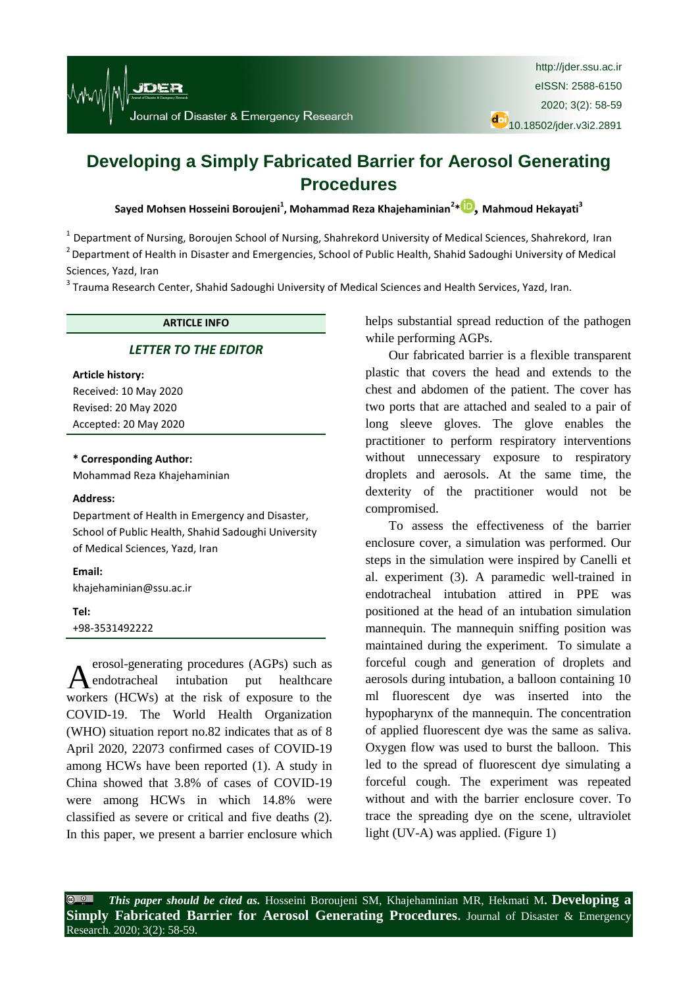# **Developing a Simply Fabricated Barrier for Aerosol Generating Procedures**

**Sayed Mohsen Hosseini Boroujeni<sup>1</sup> , Mohammad Reza Khajehaminian<sup>2</sup> \* [,](https://orcid.org/0000-0003-4127-0261) Mahmoud Hekayati<sup>3</sup>**

<sup>1</sup> Department of Nursing, Boroujen School of Nursing, Shahrekord University of Medical Sciences, Shahrekord, Iran <sup>2</sup> Department of Health in Disaster and Emergencies, School of Public Health, Shahid Sadoughi University of Medical Sciences, Yazd, Iran

<sup>3</sup> Trauma Research Center, Shahid Sadoughi University of Medical Sciences and Health Services, Yazd, Iran.

#### **ARTICLE INFO**

# *[LETTER TO THE EDITOR](http://jder.ssu.ac.ir/search.php?sid=1&slc_lang=en&atcl=1&type=13)*

#### **Article history:**

Received: 10 May 2020 Revised: 20 May 2020 Accepted: 20 May 2020

**\* Corresponding Author:** Mohammad Reza Khajehaminian

#### **Address:**

Department of Health in Emergency and Disaster, School of Public Health, Shahid Sadoughi University of Medical Sciences, Yazd, Iran

## **Email:**

[khajehaminian@ssu.ac.ir](mailto:khajehaminian@ssu.ac.ir)

# **Tel:**

+98-3531492222

erosol-generating procedures (AGPs) such as endotracheal intubation put healthcare workers (HCWs) at the risk of exposure to the COVID-19. The World Health Organization (WHO) situation report no.82 indicates that as of 8 April 2020, 22073 confirmed cases of COVID-19 among HCWs have been reported [\(1\)](#page-1-0). A study in China showed that 3.8% of cases of COVID-19 were among HCWs in which 14.8% were classified as severe or critical and five deaths [\(2\)](#page-1-1). In this paper, we present a barrier enclosure which helps substantial spread reduction of the pathogen while performing AGPs.

Our fabricated barrier is a flexible transparent plastic that covers the head and extends to the chest and abdomen of the patient. The cover has two ports that are attached and sealed to a pair of long sleeve gloves. The glove enables the practitioner to perform respiratory interventions without unnecessary exposure to respiratory droplets and aerosols. At the same time, the dexterity of the practitioner would not be compromised.

To assess the effectiveness of the barrier enclosure cover, a simulation was performed. Our steps in the simulation were inspired by Canelli et al. experiment [\(3\)](#page-1-2). A paramedic well-trained in endotracheal intubation attired in PPE was positioned at the head of an intubation simulation mannequin. The mannequin sniffing position was maintained during the experiment. To simulate a forceful cough and generation of droplets and aerosols during intubation, a balloon containing 10 ml fluorescent dye was inserted into the hypopharynx of the mannequin. The concentration of applied fluorescent dye was the same as saliva. Oxygen flow was used to burst the balloon. This led to the spread of fluorescent dye simulating a forceful cough. The experiment was repeated without and with the barrier enclosure cover. To trace the spreading dye on the scene, ultraviolet light (UV-A) was applied. (Figure 1)

*This paper should be cited as.* Hosseini Boroujeni SM, Khajehaminian MR, Hekmati M**. Developing a Simply Fabricated Barrier for Aerosol Generating Procedures.** Journal of Disaster & Emergency Research. 2020; 3(2): 58-59.